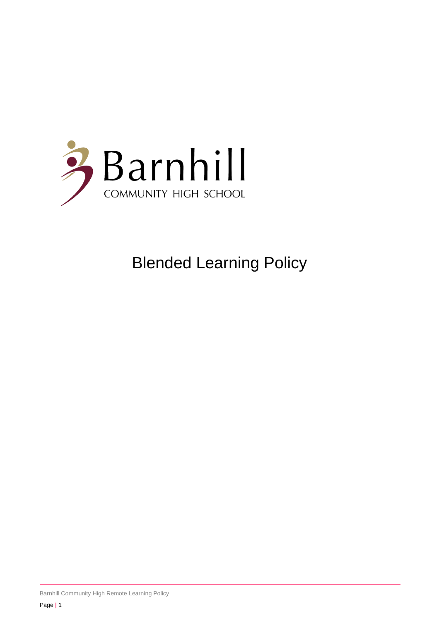

# Blended Learning Policy

Barnhill Community High Remote Learning Policy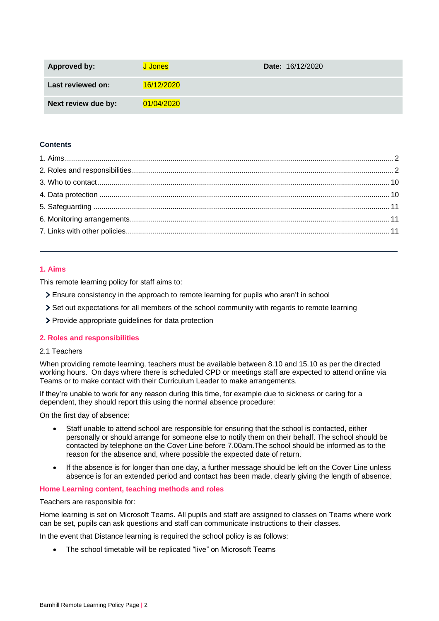| <b>Approved by:</b> | J Jones I  | <b>Date:</b> 16/12/2020 |
|---------------------|------------|-------------------------|
| Last reviewed on:   | 16/12/2020 |                         |
| Next review due by: | 01/04/2020 |                         |

## **Contents**

## <span id="page-1-0"></span>**1. Aims**

This remote learning policy for staff aims to:

- Ensure consistency in the approach to remote learning for pupils who aren't in school
- Set out expectations for all members of the school community with regards to remote learning
- Provide appropriate guidelines for data protection

#### <span id="page-1-1"></span>**2. Roles and responsibilities**

## 2.1 Teachers

When providing remote learning, teachers must be available between 8.10 and 15.10 as per the directed working hours. On days where there is scheduled CPD or meetings staff are expected to attend online via Teams or to make contact with their Curriculum Leader to make arrangements.

If they're unable to work for any reason during this time, for example due to sickness or caring for a dependent, they should report this using the normal absence procedure:

On the first day of absence:

- Staff unable to attend school are responsible for ensuring that the school is contacted, either personally or should arrange for someone else to notify them on their behalf. The school should be contacted by telephone on the Cover Line before 7.00am.The school should be informed as to the reason for the absence and, where possible the expected date of return.
- If the absence is for longer than one day, a further message should be left on the Cover Line unless absence is for an extended period and contact has been made, clearly giving the length of absence.

#### **Home Learning content, teaching methods and roles**

Teachers are responsible for:

Home learning is set on Microsoft Teams. All pupils and staff are assigned to classes on Teams where work can be set, pupils can ask questions and staff can communicate instructions to their classes.

In the event that Distance learning is required the school policy is as follows:

• The school timetable will be replicated "live" on Microsoft Teams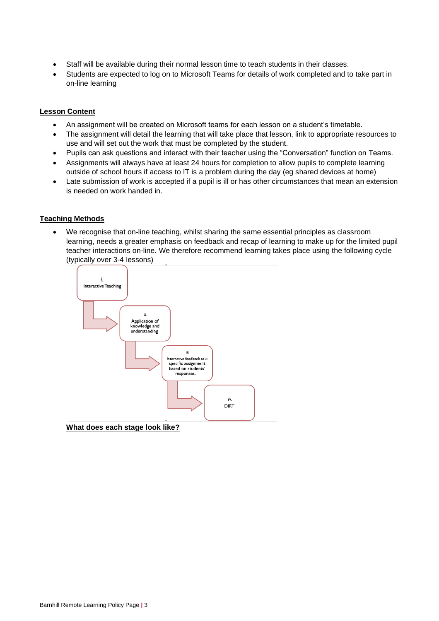- Staff will be available during their normal lesson time to teach students in their classes.
- Students are expected to log on to Microsoft Teams for details of work completed and to take part in on-line learning

### **Lesson Content**

- An assignment will be created on Microsoft teams for each lesson on a student's timetable.
- The assignment will detail the learning that will take place that lesson, link to appropriate resources to use and will set out the work that must be completed by the student.
- Pupils can ask questions and interact with their teacher using the "Conversation" function on Teams.
- Assignments will always have at least 24 hours for completion to allow pupils to complete learning outside of school hours if access to IT is a problem during the day (eg shared devices at home)
- Late submission of work is accepted if a pupil is ill or has other circumstances that mean an extension is needed on work handed in.

## **Teaching Methods**

• We recognise that on-line teaching, whilst sharing the same essential principles as classroom learning, needs a greater emphasis on feedback and recap of learning to make up for the limited pupil teacher interactions on-line. We therefore recommend learning takes place using the following cycle (typically over 3-4 lessons)



**What does each stage look like?**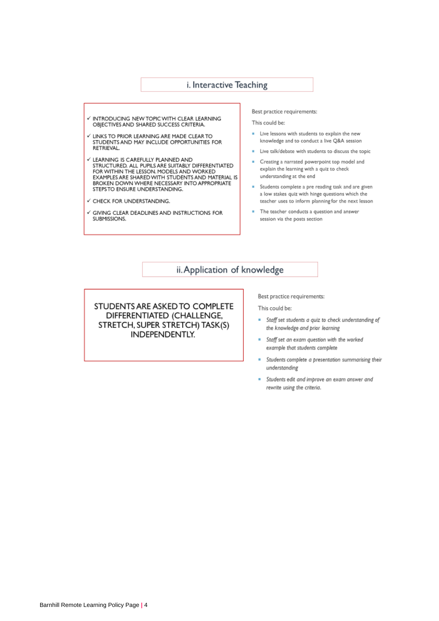## i. Interactive Teaching

- V INTRODUCING NEW TOPIC WITH CLEAR LEARNING OBJECTIVES AND SHARED SUCCESS CRITERIA.
- V LINKS TO PRIOR LEARNING ARE MADE CLEAR TO<br>STUDENTS AND MAY INCLUDE OPPORTUNITIES FOR RETRIEVAL.
- V LEARNING IS CAREFULLY PLANNED AND STRUCTURED. ALL PUPILS ARE SUITABLY DIFFERENTIATED FOR WITHIN THE LESSON. MODELS AND WORKED EXAMPLES ARE SHARED WITH STUDENTS AND MATERIAL IS<br>BROKEN DOWN WHERE NECESSARY INTO APPROPRIATE STEPS TO ENSURE UNDERSTANDING.
- ← CHECK FOR UNDERSTANDING.
- $\checkmark$  GIVING CLEAR DEADLINES AND INSTRUCTIONS FOR SUBMISSIONS.

Best practice requirements:

This could be:

- Live lessons with students to explain the new knowledge and to conduct a live Q&A session
- Live talk/debate with students to discuss the topic
- Creating a narrated powerpoint top model and explain the learning with a quiz to check understanding at the end
- **E** Students complete a pre reading task and are given a low stakes quiz with hinge questions which the teacher uses to inform planning for the next lesson
- The teacher conducts a question and answer session via the posts section

ii. Application of knowledge

STUDENTS ARE ASKED TO COMPLETE DIFFERENTIATED (CHALLENGE, STRETCH, SUPER STRETCH) TASK(S) INDEPENDENTLY.

Best practice requirements:

This could be:

- = Staff set students a quiz to check understanding of the knowledge and prior learning
- Staff set an exam question with the worked ٠ example that students complete
- Students complete a presentation summarising their understanding
- Students edit and improve an exam answer and ш rewrite using the criteria.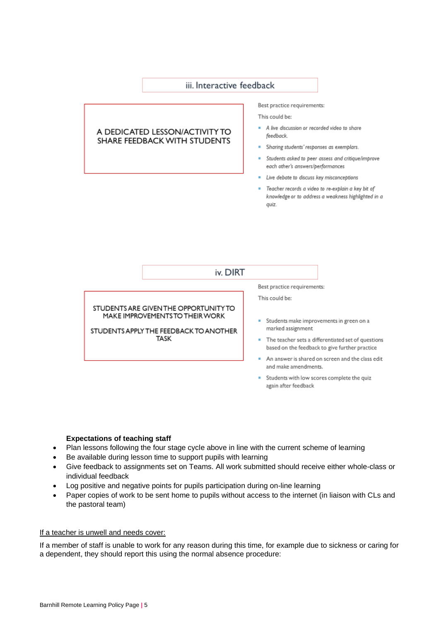# iii. Interactive feedback

## A DEDICATED LESSON/ACTIVITY TO SHARE FEEDBACK WITH STUDENTS

#### Best practice requirements:

This could be:

- A live discussion or recorded video to share feedback
- Sharing students' responses as exemplars.
- \* Students asked to peer assess and critique/improve each other's answers/performances
- = Live debate to discuss key misconceptions
- Teacher records a video to re-explain a key bit of knowledge or to address a weakness highlighted in a quiz.

# iv. DIRT

STUDENTS ARE GIVEN THE OPPORTUNITY TO MAKE IMPROVEMENTS TO THEIR WORK

STUDENTS APPLY THE FEEDBACK TO ANOTHER **TASK** 

#### Best practice requirements:

This could be:

- Students make improvements in green on a marked assignment
- The teacher sets a differentiated set of questions based on the feedback to give further practice
- An answer is shared on screen and the class edit and make amendments.
- Students with low scores complete the quiz again after feedback

#### **Expectations of teaching staff**

- Plan lessons following the four stage cycle above in line with the current scheme of learning
- Be available during lesson time to support pupils with learning
- Give feedback to assignments set on Teams. All work submitted should receive either whole-class or individual feedback
- Log positive and negative points for pupils participation during on-line learning
- Paper copies of work to be sent home to pupils without access to the internet (in liaison with CLs and the pastoral team)

#### If a teacher is unwell and needs cover:

If a member of staff is unable to work for any reason during this time, for example due to sickness or caring for a dependent, they should report this using the normal absence procedure: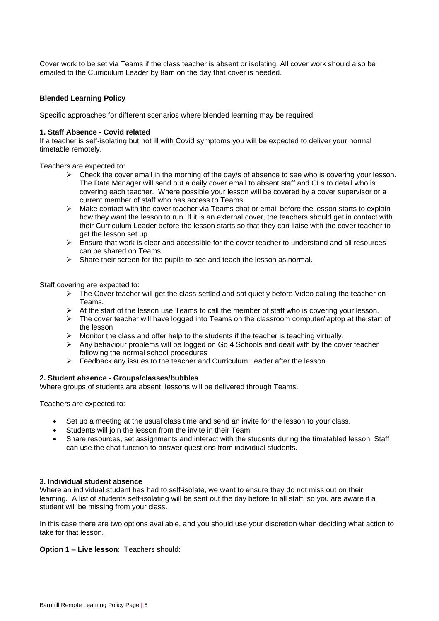Cover work to be set via Teams if the class teacher is absent or isolating. All cover work should also be emailed to the Curriculum Leader by 8am on the day that cover is needed.

### **Blended Learning Policy**

Specific approaches for different scenarios where blended learning may be required:

#### **1. Staff Absence - Covid related**

If a teacher is self-isolating but not ill with Covid symptoms you will be expected to deliver your normal timetable remotely.

Teachers are expected to:

- $\triangleright$  Check the cover email in the morning of the day/s of absence to see who is covering your lesson. The Data Manager will send out a daily cover email to absent staff and CLs to detail who is covering each teacher. Where possible your lesson will be covered by a cover supervisor or a current member of staff who has access to Teams.
- $\triangleright$  Make contact with the cover teacher via Teams chat or email before the lesson starts to explain how they want the lesson to run. If it is an external cover, the teachers should get in contact with their Curriculum Leader before the lesson starts so that they can liaise with the cover teacher to get the lesson set up
- ➢ Ensure that work is clear and accessible for the cover teacher to understand and all resources can be shared on Teams
- ➢ Share their screen for the pupils to see and teach the lesson as normal.

Staff covering are expected to:

- $\triangleright$  The Cover teacher will get the class settled and sat quietly before Video calling the teacher on Teams.
- $\triangleright$  At the start of the lesson use Teams to call the member of staff who is covering your lesson.
- $\triangleright$  The cover teacher will have logged into Teams on the classroom computer/laptop at the start of the lesson
- ➢ Monitor the class and offer help to the students if the teacher is teaching virtually.
- $\triangleright$  Any behaviour problems will be logged on Go 4 Schools and dealt with by the cover teacher following the normal school procedures
- ➢ Feedback any issues to the teacher and Curriculum Leader after the lesson.

#### **2. Student absence - Groups/classes/bubbles**

Where groups of students are absent, lessons will be delivered through Teams.

Teachers are expected to:

- Set up a meeting at the usual class time and send an invite for the lesson to your class.
- Students will join the lesson from the invite in their Team.
- Share resources, set assignments and interact with the students during the timetabled lesson. Staff can use the chat function to answer questions from individual students.

#### **3. Individual student absence**

Where an individual student has had to self-isolate, we want to ensure they do not miss out on their learning. A list of students self-isolating will be sent out the day before to all staff, so you are aware if a student will be missing from your class.

In this case there are two options available, and you should use your discretion when deciding what action to take for that lesson.

**Option 1 – Live lesson**: Teachers should: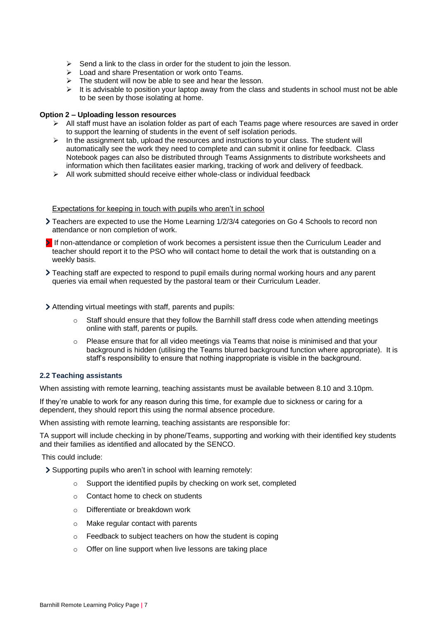- $\triangleright$  Send a link to the class in order for the student to join the lesson.
- ➢ Load and share Presentation or work onto Teams.
- $\triangleright$  The student will now be able to see and hear the lesson.
- ➢ It is advisable to position your laptop away from the class and students in school must not be able to be seen by those isolating at home.

## **Option 2 – Uploading lesson resources**

- ➢ All staff must have an isolation folder as part of each Teams page where resources are saved in order to support the learning of students in the event of self isolation periods.
- ➢ In the assignment tab, upload the resources and instructions to your class. The student will automatically see the work they need to complete and can submit it online for feedback. Class Notebook pages can also be distributed through Teams Assignments to distribute worksheets and information which then facilitates easier marking, tracking of work and delivery of feedback.
- $\geq$  All work submitted should receive either whole-class or individual feedback

#### Expectations for keeping in touch with pupils who aren't in school

- Teachers are expected to use the Home Learning 1/2/3/4 categories on Go 4 Schools to record non attendance or non completion of work.
- If non-attendance or completion of work becomes a persistent issue then the Curriculum Leader and teacher should report it to the PSO who will contact home to detail the work that is outstanding on a weekly basis.
- Teaching staff are expected to respond to pupil emails during normal working hours and any parent queries via email when requested by the pastoral team or their Curriculum Leader.
- Attending virtual meetings with staff, parents and pupils:
	- $\circ$  Staff should ensure that they follow the Barnhill staff dress code when attending meetings online with staff, parents or pupils.
	- $\circ$  Please ensure that for all video meetings via Teams that noise is minimised and that your background is hidden (utilising the Teams blurred background function where appropriate). It is staff's responsibility to ensure that nothing inappropriate is visible in the background.

## **2.2 Teaching assistants**

When assisting with remote learning, teaching assistants must be available between 8.10 and 3.10pm.

If they're unable to work for any reason during this time, for example due to sickness or caring for a dependent, they should report this using the normal absence procedure.

When assisting with remote learning, teaching assistants are responsible for:

TA support will include checking in by phone/Teams, supporting and working with their identified key students and their families as identified and allocated by the SENCO.

This could include:

Supporting pupils who aren't in school with learning remotely:

- o Support the identified pupils by checking on work set, completed
- o Contact home to check on students
- o Differentiate or breakdown work
- o Make regular contact with parents
- o Feedback to subject teachers on how the student is coping
- o Offer on line support when live lessons are taking place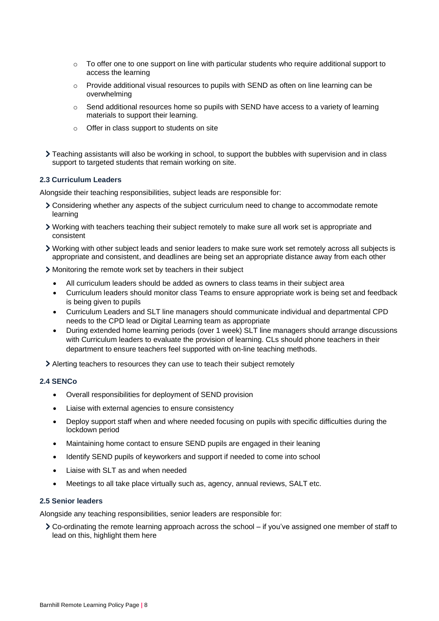- $\circ$  To offer one to one support on line with particular students who require additional support to access the learning
- o Provide additional visual resources to pupils with SEND as often on line learning can be overwhelming
- o Send additional resources home so pupils with SEND have access to a variety of learning materials to support their learning.
- o Offer in class support to students on site
- > Teaching assistants will also be working in school, to support the bubbles with supervision and in class support to targeted students that remain working on site.

#### **2.3 Curriculum Leaders**

Alongside their teaching responsibilities, subject leads are responsible for:

- Considering whether any aspects of the subject curriculum need to change to accommodate remote learning
- Working with teachers teaching their subject remotely to make sure all work set is appropriate and consistent
- Working with other subject leads and senior leaders to make sure work set remotely across all subjects is appropriate and consistent, and deadlines are being set an appropriate distance away from each other
- Monitoring the remote work set by teachers in their subject
	- All curriculum leaders should be added as owners to class teams in their subject area
	- Curriculum leaders should monitor class Teams to ensure appropriate work is being set and feedback is being given to pupils
	- Curriculum Leaders and SLT line managers should communicate individual and departmental CPD needs to the CPD lead or Digital Learning team as appropriate
	- During extended home learning periods (over 1 week) SLT line managers should arrange discussions with Curriculum leaders to evaluate the provision of learning. CLs should phone teachers in their department to ensure teachers feel supported with on-line teaching methods.
- Alerting teachers to resources they can use to teach their subject remotely

#### **2.4 SENCo**

- Overall responsibilities for deployment of SEND provision
- Liaise with external agencies to ensure consistency
- Deploy support staff when and where needed focusing on pupils with specific difficulties during the lockdown period
- Maintaining home contact to ensure SEND pupils are engaged in their leaning
- Identify SEND pupils of keyworkers and support if needed to come into school
- Liaise with SLT as and when needed
- Meetings to all take place virtually such as, agency, annual reviews, SALT etc.

#### **2.5 Senior leaders**

Alongside any teaching responsibilities, senior leaders are responsible for:

Co-ordinating the remote learning approach across the school – if you've assigned one member of staff to lead on this, highlight them here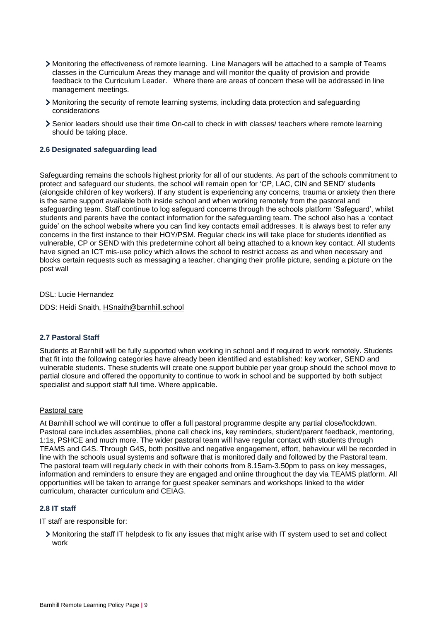- Monitoring the effectiveness of remote learning. Line Managers will be attached to a sample of Teams classes in the Curriculum Areas they manage and will monitor the quality of provision and provide feedback to the Curriculum Leader. Where there are areas of concern these will be addressed in line management meetings.
- Monitoring the security of remote learning systems, including data protection and safeguarding considerations
- Senior leaders should use their time On-call to check in with classes/ teachers where remote learning should be taking place.

## **2.6 Designated safeguarding lead**

Safeguarding remains the schools highest priority for all of our students. As part of the schools commitment to protect and safeguard our students, the school will remain open for 'CP, LAC, CIN and SEND' students (alongside children of key workers). If any student is experiencing any concerns, trauma or anxiety then there is the same support available both inside school and when working remotely from the pastoral and safeguarding team. Staff continue to log safeguard concerns through the schools platform 'Safeguard', whilst students and parents have the contact information for the safeguarding team. The school also has a 'contact guide' on the school website where you can find key contacts email addresses. It is always best to refer any concerns in the first instance to their HOY/PSM. Regular check ins will take place for students identified as vulnerable, CP or SEND with this predetermine cohort all being attached to a known key contact. All students have signed an ICT mis-use policy which allows the school to restrict access as and when necessary and blocks certain requests such as messaging a teacher, changing their profile picture, sending a picture on the post wall

DSL: Lucie Hernandez

DDS: Heidi Snaith, [HSnaith@barnhill.school](mailto:HSnaith@barnhill.school)

#### **2.7 Pastoral Staff**

Students at Barnhill will be fully supported when working in school and if required to work remotely. Students that fit into the following categories have already been identified and established: key worker, SEND and vulnerable students. These students will create one support bubble per year group should the school move to partial closure and offered the opportunity to continue to work in school and be supported by both subject specialist and support staff full time. Where applicable.

#### Pastoral care

At Barnhill school we will continue to offer a full pastoral programme despite any partial close/lockdown. Pastoral care includes assemblies, phone call check ins, key reminders, student/parent feedback, mentoring, 1:1s, PSHCE and much more. The wider pastoral team will have regular contact with students through TEAMS and G4S. Through G4S, both positive and negative engagement, effort, behaviour will be recorded in line with the schools usual systems and software that is monitored daily and followed by the Pastoral team. The pastoral team will regularly check in with their cohorts from 8.15am-3.50pm to pass on key messages, information and reminders to ensure they are engaged and online throughout the day via TEAMS platform. All opportunities will be taken to arrange for guest speaker seminars and workshops linked to the wider curriculum, character curriculum and CEIAG.

#### **2.8 IT staff**

IT staff are responsible for:

Monitoring the staff IT helpdesk to fix any issues that might arise with IT system used to set and collect work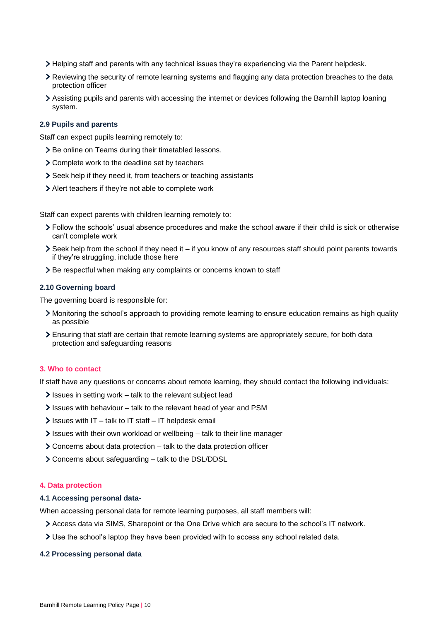- Helping staff and parents with any technical issues they're experiencing via the Parent helpdesk.
- Reviewing the security of remote learning systems and flagging any data protection breaches to the data protection officer
- Assisting pupils and parents with accessing the internet or devices following the Barnhill laptop loaning system.

#### **2.9 Pupils and parents**

Staff can expect pupils learning remotely to:

- > Be online on Teams during their timetabled lessons.
- Complete work to the deadline set by teachers
- Seek help if they need it, from teachers or teaching assistants
- Alert teachers if they're not able to complete work

Staff can expect parents with children learning remotely to:

- Follow the schools' usual absence procedures and make the school aware if their child is sick or otherwise can't complete work
- $\geq$  Seek help from the school if they need it if you know of any resources staff should point parents towards if they're struggling, include those here
- > Be respectful when making any complaints or concerns known to staff

#### **2.10 Governing board**

The governing board is responsible for:

- Monitoring the school's approach to providing remote learning to ensure education remains as high quality as possible
- Ensuring that staff are certain that remote learning systems are appropriately secure, for both data protection and safeguarding reasons

## <span id="page-9-0"></span>**3. Who to contact**

If staff have any questions or concerns about remote learning, they should contact the following individuals:

- $\sum$  Issues in setting work talk to the relevant subject lead
- If Issues with behaviour talk to the relevant head of year and PSM
- $\ge$  Issues with IT talk to IT staff IT helpdesk email
- Issues with their own workload or wellbeing talk to their line manager
- Concerns about data protection talk to the data protection officer
- Concerns about safeguarding talk to the DSL/DDSL

#### <span id="page-9-1"></span>**4. Data protection**

#### **4.1 Accessing personal data-**

When accessing personal data for remote learning purposes, all staff members will:

- Access data via SIMS, Sharepoint or the One Drive which are secure to the school's IT network.
- Use the school's laptop they have been provided with to access any school related data.

#### **4.2 Processing personal data**